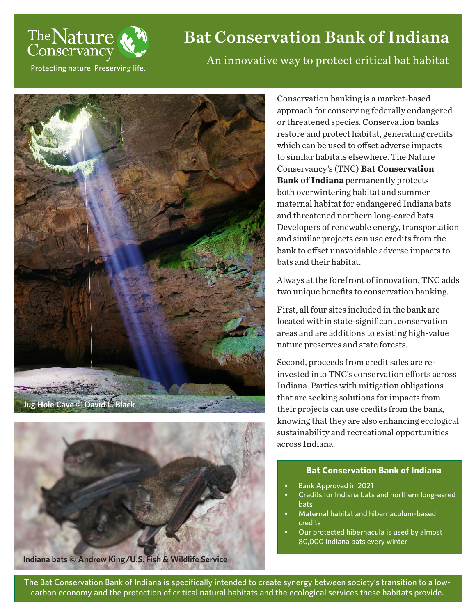

# Bat Conservation Bank of Indiana

Protecting nature. Preserving life.





**Indiana bats © Andrew King/U.S. Fish & Wildlife Service**

An innovative way to protect critical bat habitat

Conservation banking is a market-based approach for conserving federally endangered or threatened species. Conservation banks restore and protect habitat, generating credits which can be used to offset adverse impacts to similar habitats elsewhere. The Nature Conservancy's (TNC) **Bat Conservation Bank of Indiana** permanently protects both overwintering habitat and summer maternal habitat for endangered Indiana bats and threatened northern long-eared bats. Developers of renewable energy, transportation and similar projects can use credits from the bank to offset unavoidable adverse impacts to bats and their habitat.

Always at the forefront of innovation, TNC adds two unique benefits to conservation banking.

First, all four sites included in the bank are located within state-significant conservation areas and are additions to existing high-value nature preserves and state forests.

Second, proceeds from credit sales are reinvested into TNC's conservation efforts across Indiana. Parties with mitigation obligations that are seeking solutions for impacts from their projects can use credits from the bank, knowing that they are also enhancing ecological sustainability and recreational opportunities across Indiana.

# **Bat Conservation Bank of Indiana**

- Bank Approved in 2021
- Credits for Indiana bats and northern long-eared bats
- Maternal habitat and hibernaculum-based credits
- Our protected hibernacula is used by almost 80,000 Indiana bats every winter

The Bat Conservation Bank of Indiana is specifically intended to create synergy between society's transition to a lowcarbon economy and the protection of critical natural habitats and the ecological services these habitats provide.